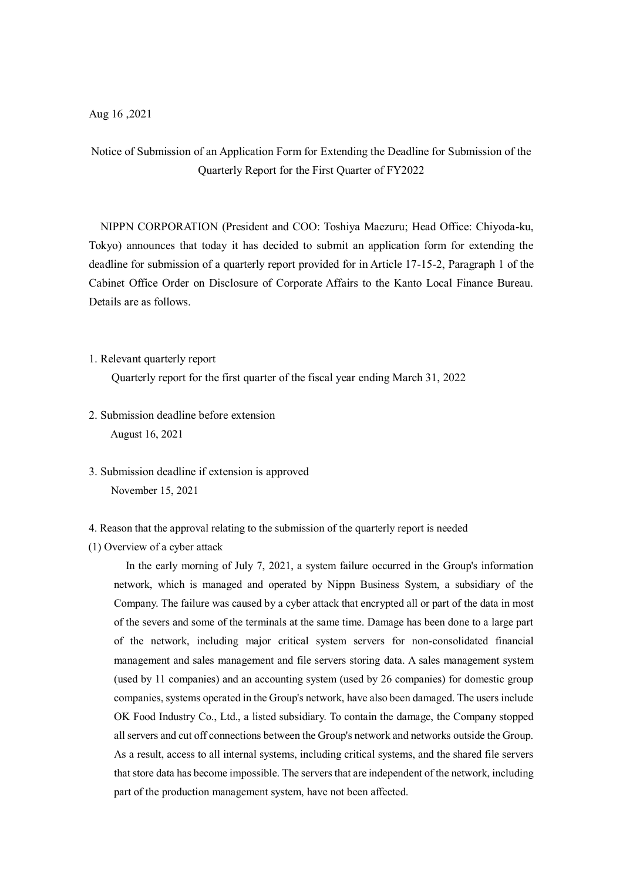# Notice of Submission of an Application Form for Extending the Deadline for Submission of the Quarterly Report for the First Quarter of FY2022

NIPPN CORPORATION (President and COO: Toshiya Maezuru; Head Office: Chiyoda-ku, Tokyo) announces that today it has decided to submit an application form for extending the deadline for submission of a quarterly report provided for in Article 17-15-2, Paragraph 1 of the Cabinet Office Order on Disclosure of Corporate Affairs to the Kanto Local Finance Bureau. Details are as follows.

1. Relevant quarterly report

Quarterly report for the first quarter of the fiscal year ending March 31, 2022

- 2. Submission deadline before extension August 16, 2021
- 3. Submission deadline if extension is approved November 15, 2021
- 4. Reason that the approval relating to the submission of the quarterly report is needed
- (1) Overview of a cyber attack

In the early morning of July 7, 2021, a system failure occurred in the Group's information network, which is managed and operated by Nippn Business System, a subsidiary of the Company. The failure was caused by a cyber attack that encrypted all or part of the data in most of the severs and some of the terminals at the same time. Damage has been done to a large part of the network, including major critical system servers for non-consolidated financial management and sales management and file servers storing data. A sales management system (used by 11 companies) and an accounting system (used by 26 companies) for domestic group companies, systems operated in the Group's network, have also been damaged. The users include OK Food Industry Co., Ltd., a listed subsidiary. To contain the damage, the Company stopped all servers and cut off connections between the Group's network and networks outside the Group. As a result, access to all internal systems, including critical systems, and the shared file servers that store data has become impossible. The servers that are independent of the network, including part of the production management system, have not been affected.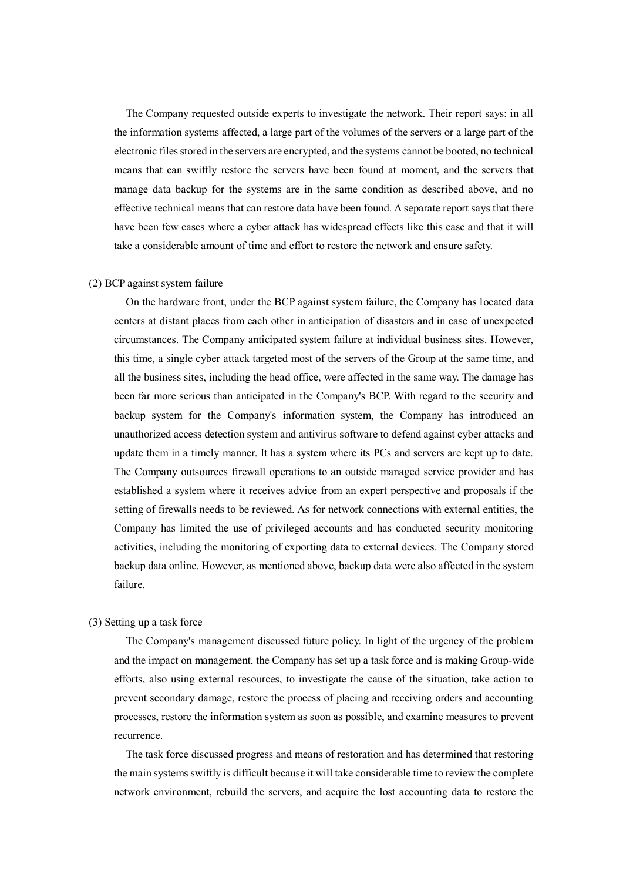The Company requested outside experts to investigate the network. Their report says: in all the information systems affected, a large part of the volumes of the servers or a large part of the electronic files stored in the servers are encrypted, and the systems cannot be booted, no technical means that can swiftly restore the servers have been found at moment, and the servers that manage data backup for the systems are in the same condition as described above, and no effective technical means that can restore data have been found. A separate report says that there have been few cases where a cyber attack has widespread effects like this case and that it will take a considerable amount of time and effort to restore the network and ensure safety.

#### (2) BCP against system failure

On the hardware front, under the BCP against system failure, the Company has located data centers at distant places from each other in anticipation of disasters and in case of unexpected circumstances. The Company anticipated system failure at individual business sites. However, this time, a single cyber attack targeted most of the servers of the Group at the same time, and all the business sites, including the head office, were affected in the same way. The damage has been far more serious than anticipated in the Company's BCP. With regard to the security and backup system for the Company's information system, the Company has introduced an unauthorized access detection system and antivirus software to defend against cyber attacks and update them in a timely manner. It has a system where its PCs and servers are kept up to date. The Company outsources firewall operations to an outside managed service provider and has established a system where it receives advice from an expert perspective and proposals if the setting of firewalls needs to be reviewed. As for network connections with external entities, the Company has limited the use of privileged accounts and has conducted security monitoring activities, including the monitoring of exporting data to external devices. The Company stored backup data online. However, as mentioned above, backup data were also affected in the system failure.

### (3) Setting up a task force

The Company's management discussed future policy. In light of the urgency of the problem and the impact on management, the Company has set up a task force and is making Group-wide efforts, also using external resources, to investigate the cause of the situation, take action to prevent secondary damage, restore the process of placing and receiving orders and accounting processes, restore the information system as soon as possible, and examine measures to prevent recurrence.

The task force discussed progress and means of restoration and has determined that restoring the main systems swiftly is difficult because it will take considerable time to review the complete network environment, rebuild the servers, and acquire the lost accounting data to restore the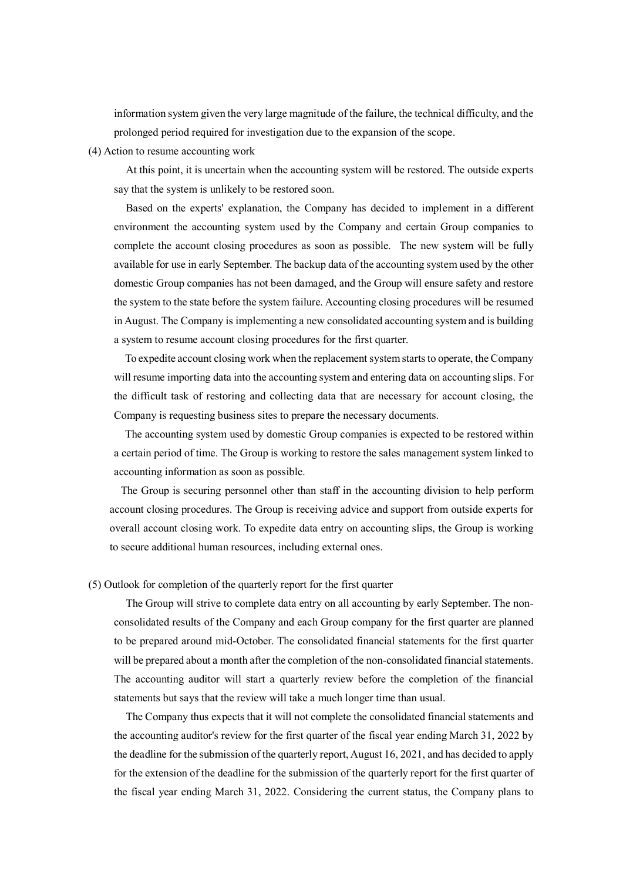information system given the very large magnitude of the failure, the technical difficulty, and the prolonged period required for investigation due to the expansion of the scope.

(4) Action to resume accounting work

At this point, it is uncertain when the accounting system will be restored. The outside experts say that the system is unlikely to be restored soon.

Based on the experts' explanation, the Company has decided to implement in a different environment the accounting system used by the Company and certain Group companies to complete the account closing procedures as soon as possible. The new system will be fully available for use in early September. The backup data of the accounting system used by the other domestic Group companies has not been damaged, and the Group will ensure safety and restore the system to the state before the system failure. Accounting closing procedures will be resumed in August. The Company is implementing a new consolidated accounting system and is building a system to resume account closing procedures for the first quarter.

To expedite account closing work when the replacement system starts to operate, the Company will resume importing data into the accounting system and entering data on accounting slips. For the difficult task of restoring and collecting data that are necessary for account closing, the Company is requesting business sites to prepare the necessary documents.

The accounting system used by domestic Group companies is expected to be restored within a certain period of time. The Group is working to restore the sales management system linked to accounting information as soon as possible.

 The Group is securing personnel other than staff in the accounting division to help perform account closing procedures. The Group is receiving advice and support from outside experts for overall account closing work. To expedite data entry on accounting slips, the Group is working to secure additional human resources, including external ones.

## (5) Outlook for completion of the quarterly report for the first quarter

The Group will strive to complete data entry on all accounting by early September. The nonconsolidated results of the Company and each Group company for the first quarter are planned to be prepared around mid-October. The consolidated financial statements for the first quarter will be prepared about a month after the completion of the non-consolidated financial statements. The accounting auditor will start a quarterly review before the completion of the financial statements but says that the review will take a much longer time than usual.

The Company thus expects that it will not complete the consolidated financial statements and the accounting auditor's review for the first quarter of the fiscal year ending March 31, 2022 by the deadline for the submission of the quarterly report, August 16, 2021, and has decided to apply for the extension of the deadline for the submission of the quarterly report for the first quarter of the fiscal year ending March 31, 2022. Considering the current status, the Company plans to